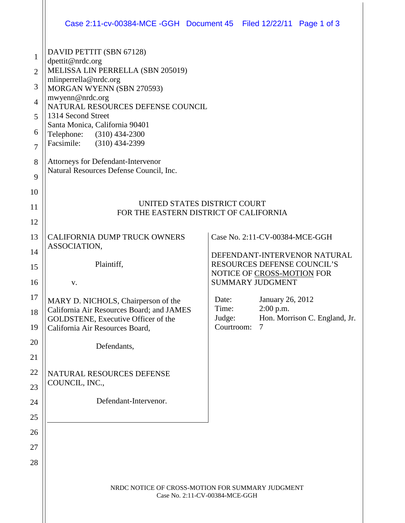|                                                                                            |                                                                                                                                                                                                                                                                                                                                                                                                         | Case 2:11-cv-00384-MCE -GGH  Document 45  Filed 12/22/11  Page 1 of 3                                                                                                                                                                                                     |
|--------------------------------------------------------------------------------------------|---------------------------------------------------------------------------------------------------------------------------------------------------------------------------------------------------------------------------------------------------------------------------------------------------------------------------------------------------------------------------------------------------------|---------------------------------------------------------------------------------------------------------------------------------------------------------------------------------------------------------------------------------------------------------------------------|
| $\mathbf{1}$<br>$\overline{2}$<br>3<br>$\overline{4}$<br>5<br>6<br>7<br>8<br>9<br>10<br>11 | DAVID PETTIT (SBN 67128)<br>dpettit@nrdc.org<br>MELISSA LIN PERRELLA (SBN 205019)<br>mlinperrella@nrdc.org<br>MORGAN WYENN (SBN 270593)<br>mwyenn@nrdc.org<br>NATURAL RESOURCES DEFENSE COUNCIL<br>1314 Second Street<br>Santa Monica, California 90401<br>Telephone: (310) 434-2300<br>Facsimile:<br>$(310)$ 434-2399<br>Attorneys for Defendant-Intervenor<br>Natural Resources Defense Council, Inc. | UNITED STATES DISTRICT COURT                                                                                                                                                                                                                                              |
| 12                                                                                         | FOR THE EASTERN DISTRICT OF CALIFORNIA                                                                                                                                                                                                                                                                                                                                                                  |                                                                                                                                                                                                                                                                           |
| 13<br>14<br>15<br>16<br>17<br>18<br>19<br>20<br>21<br>22<br>23<br>24<br>25<br>26<br>27     | CALIFORNIA DUMP TRUCK OWNERS<br>ASSOCIATION,<br>Plaintiff,<br>V.<br>MARY D. NICHOLS, Chairperson of the<br>California Air Resources Board; and JAMES<br>GOLDSTENE, Executive Officer of the<br>California Air Resources Board,<br>Defendants,<br>NATURAL RESOURCES DEFENSE<br>COUNCIL, INC.,<br>Defendant-Intervenor.                                                                                   | Case No. 2:11-CV-00384-MCE-GGH<br>DEFENDANT-INTERVENOR NATURAL<br>RESOURCES DEFENSE COUNCIL'S<br>NOTICE OF CROSS-MOTION FOR<br><b>SUMMARY JUDGMENT</b><br>Date:<br>January 26, 2012<br>$2:00$ p.m.<br>Time:<br>Hon. Morrison C. England, Jr.<br>Judge:<br>Courtroom:<br>7 |
| 28                                                                                         | NRDC NOTICE OF CROSS-MOTION FOR SUMMARY JUDGMENT<br>Case No. 2:11-CV-00384-MCE-GGH                                                                                                                                                                                                                                                                                                                      |                                                                                                                                                                                                                                                                           |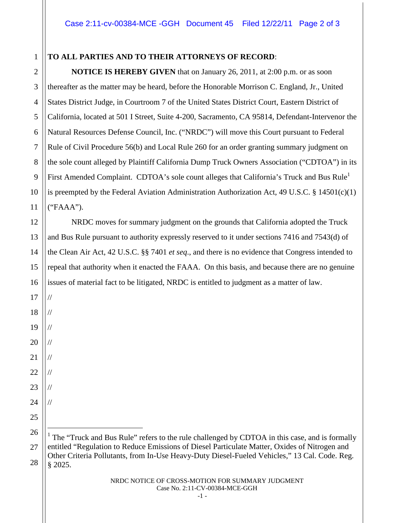## **TO ALL PARTIES AND TO THEIR ATTORNEYS OF RECORD**:

1

2

3

4

5

6

7

8

9

10

11

12

13

14

15

16

17

//

//

//

//

//

//

//

//

18

19

20

21

22

23

24

25

**NOTICE IS HEREBY GIVEN** that on January 26, 2011, at 2:00 p.m. or as soon thereafter as the matter may be heard, before the Honorable Morrison C. England, Jr., United States District Judge, in Courtroom 7 of the United States District Court, Eastern District of California, located at 501 I Street, Suite 4-200, Sacramento, CA 95814, Defendant-Intervenor the Natural Resources Defense Council, Inc. ("NRDC") will move this Court pursuant to Federal Rule of Civil Procedure 56(b) and Local Rule 260 for an order granting summary judgment on the sole count alleged by Plaintiff California Dump Truck Owners Association ("CDTOA") in its First Amended Complaint. CDTOA's sole count alleges that California's Truck and Bus Rule<sup>1</sup> is preempted by the Federal Aviation Administration Authorization Act, 49 U.S.C. § 14501(c)(1) ("FAAA").

NRDC moves for summary judgment on the grounds that California adopted the Truck and Bus Rule pursuant to authority expressly reserved to it under sections 7416 and 7543(d) of the Clean Air Act, 42 U.S.C. §§ 7401 *et seq*., and there is no evidence that Congress intended to repeal that authority when it enacted the FAAA. On this basis, and because there are no genuine issues of material fact to be litigated, NRDC is entitled to judgment as a matter of law.

26 27 28 <sup>1</sup> The "Truck and Bus Rule" refers to the rule challenged by CDTOA in this case, and is formally entitled "Regulation to Reduce Emissions of Diesel Particulate Matter, Oxides of Nitrogen and Other Criteria Pollutants, from In-Use Heavy-Duty Diesel-Fueled Vehicles," 13 Cal. Code. Reg. § 2025.